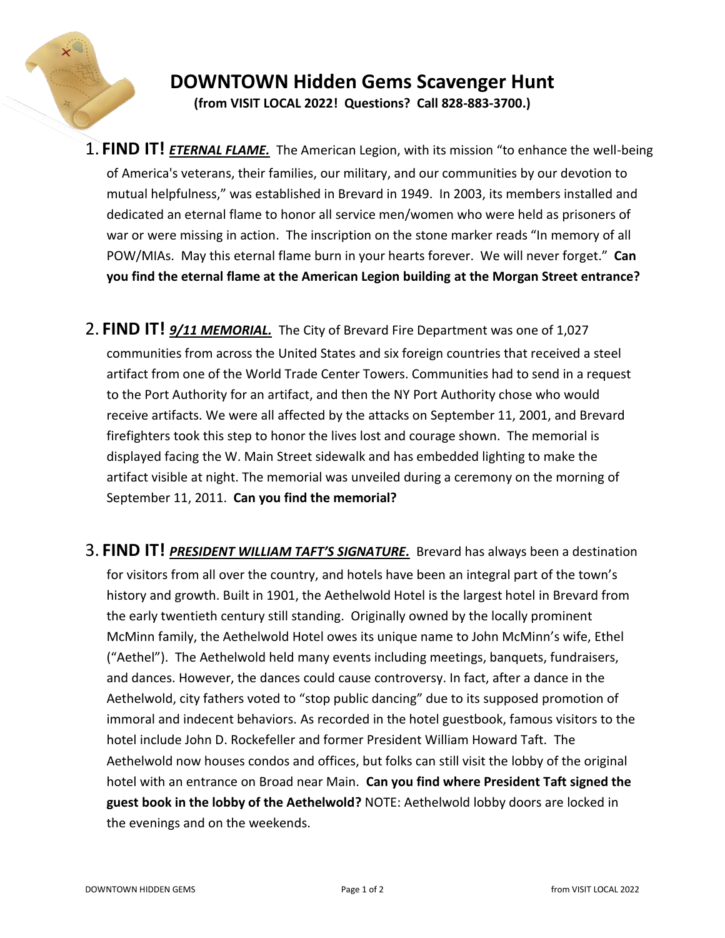

## **DOWNTOWN Hidden Gems Scavenger Hunt (from VISIT LOCAL 2022! Questions? Call 828-883-3700.)**

- 1. **FIND IT!** *ETERNAL FLAME.*The American Legion, with its mission "to enhance the well-being of America's veterans, their families, our military, and our communities by our devotion to mutual helpfulness," was established in Brevard in 1949. In 2003, its members installed and dedicated an eternal flame to honor all service men/women who were held as prisoners of war or were missing in action. The inscription on the stone marker reads "In memory of all POW/MIAs. May this eternal flame burn in your hearts forever. We will never forget." **Can you find the eternal flame at the American Legion building at the Morgan Street entrance?**
- 2. **FIND IT!** *9/11 MEMORIAL.*The City of Brevard Fire Department was one of 1,027 communities from across the United States and six foreign countries that received a steel artifact from one of the World Trade Center Towers. Communities had to send in a request to the Port Authority for an artifact, and then the NY Port Authority chose who would receive artifacts. We were all affected by the attacks on September 11, 2001, and Brevard firefighters took this step to honor the lives lost and courage shown. The memorial is displayed facing the W. Main Street sidewalk and has embedded lighting to make the artifact visible at night. The memorial was unveiled during a ceremony on the morning of September 11, 2011. **Can you find the memorial?**
- 3. **FIND IT!** *PRESIDENT WILLIAM TAFT'S SIGNATURE.*Brevard has always been a destination for visitors from all over the country, and hotels have been an integral part of the town's history and growth. Built in 1901, the Aethelwold Hotel is the largest hotel in Brevard from the early twentieth century still standing. Originally owned by the locally prominent McMinn family, the Aethelwold Hotel owes its unique name to John McMinn's wife, Ethel ("Aethel"). The Aethelwold held many events including meetings, banquets, fundraisers, and dances. However, the dances could cause controversy. In fact, after a dance in the Aethelwold, city fathers voted to "stop public dancing" due to its supposed promotion of immoral and indecent behaviors. As recorded in the hotel guestbook, famous visitors to the hotel include John D. Rockefeller and former President William Howard Taft. The Aethelwold now houses condos and offices, but folks can still visit the lobby of the original hotel with an entrance on Broad near Main. **Can you find where President Taft signed the guest book in the lobby of the Aethelwold?** NOTE: Aethelwold lobby doors are locked in the evenings and on the weekends.